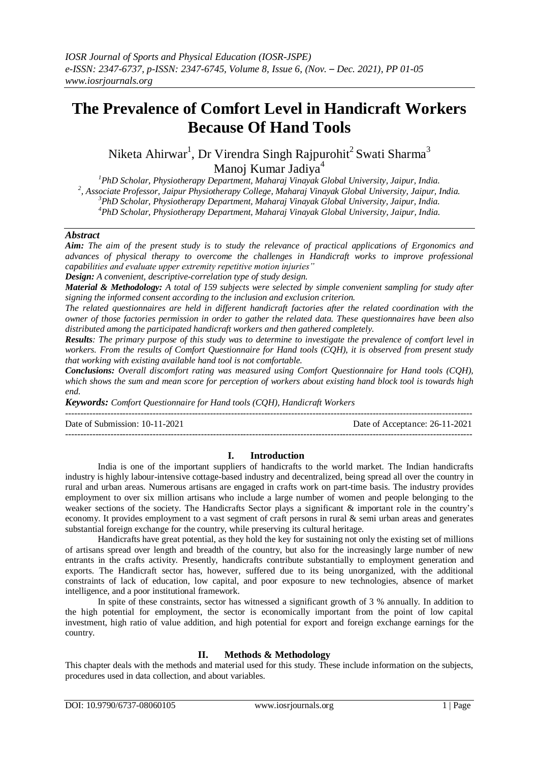# **The Prevalence of Comfort Level in Handicraft Workers Because Of Hand Tools**

Niketa Ahirwar $^1$ , Dr Virendra Singh Rajpurohit $^2$ Swati Sharma $^3$ Manoj Kumar Jadiva<sup>4</sup>

*PhD Scholar, Physiotherapy Department, Maharaj Vinayak Global University, Jaipur, India. , Associate Professor, Jaipur Physiotherapy College, Maharaj Vinayak Global University, Jaipur, India. PhD Scholar, Physiotherapy Department, Maharaj Vinayak Global University, Jaipur, India. PhD Scholar, Physiotherapy Department, Maharaj Vinayak Global University, Jaipur, India.*

## *Abstract*

*Aim: The aim of the present study is to study the relevance of practical applications of Ergonomics and advances of physical therapy to overcome the challenges in Handicraft works to improve professional capabilities and evaluate upper extremity repetitive motion injuries"*

*Design: A convenient, descriptive-correlation type of study design.*

*Material & Methodology: A total of 159 subjects were selected by simple convenient sampling for study after signing the informed consent according to the inclusion and exclusion criterion.*

*The related questionnaires are held in different handicraft factories after the related coordination with the owner of those factories permission in order to gather the related data. These questionnaires have been also distributed among the participated handicraft workers and then gathered completely.* 

*Results: The primary purpose of this study was to determine to investigate the prevalence of comfort level in workers. From the results of Comfort Questionnaire for Hand tools (CQH), it is observed from present study that working with existing available hand tool is not comfortable.* 

*Conclusions: Overall discomfort rating was measured using Comfort Questionnaire for Hand tools (CQH), which shows the sum and mean score for perception of workers about existing hand block tool is towards high end.*

*Keywords: Comfort Questionnaire for Hand tools (CQH), Handicraft Workers* ---------------------------------------------------------------------------------------------------------------------------------------

Date of Submission: 10-11-2021 Date of Acceptance: 26-11-2021 ---------------------------------------------------------------------------------------------------------------------------------------

#### **I. Introduction**

India is one of the important suppliers of handicrafts to the world market. The Indian handicrafts industry is highly labour-intensive cottage-based industry and decentralized, being spread all over the country in rural and urban areas. Numerous artisans are engaged in crafts work on part-time basis. The industry provides employment to over six million artisans who include a large number of women and people belonging to the weaker sections of the society. The Handicrafts Sector plays a significant & important role in the country's economy. It provides employment to a vast segment of craft persons in rural & semi urban areas and generates substantial foreign exchange for the country, while preserving its cultural heritage.

Handicrafts have great potential, as they hold the key for sustaining not only the existing set of millions of artisans spread over length and breadth of the country, but also for the increasingly large number of new entrants in the crafts activity. Presently, handicrafts contribute substantially to employment generation and exports. The Handicraft sector has, however, suffered due to its being unorganized, with the additional constraints of lack of education, low capital, and poor exposure to new technologies, absence of market intelligence, and a poor institutional framework.

In spite of these constraints, sector has witnessed a significant growth of 3 % annually. In addition to the high potential for employment, the sector is economically important from the point of low capital investment, high ratio of value addition, and high potential for export and foreign exchange earnings for the country.

# **II. Methods & Methodology**

This chapter deals with the methods and material used for this study. These include information on the subjects, procedures used in data collection, and about variables.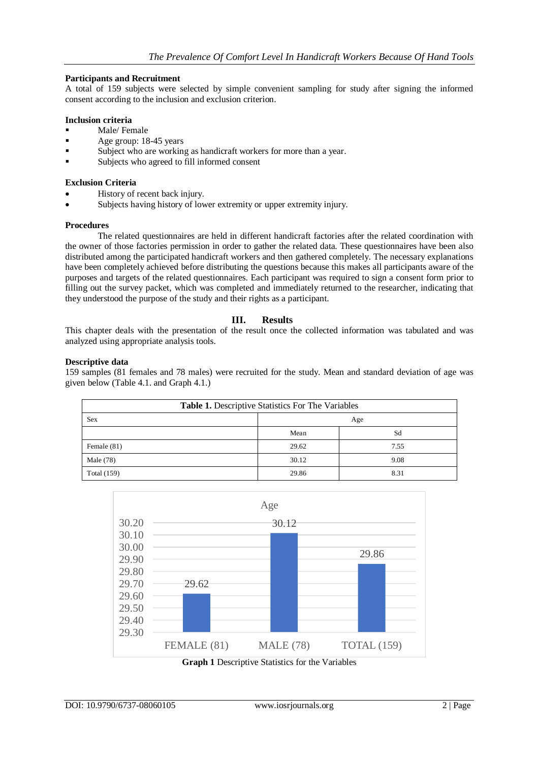# **Participants and Recruitment**

A total of 159 subjects were selected by simple convenient sampling for study after signing the informed consent according to the inclusion and exclusion criterion.

# **Inclusion criteria**

- Male/ Female
- Age group: 18-45 years
- Subject who are working as handicraft workers for more than a year.
- Subjects who agreed to fill informed consent

## **Exclusion Criteria**

- History of recent back injury.
- Subjects having history of lower extremity or upper extremity injury.

#### **Procedures**

The related questionnaires are held in different handicraft factories after the related coordination with the owner of those factories permission in order to gather the related data. These questionnaires have been also distributed among the participated handicraft workers and then gathered completely. The necessary explanations have been completely achieved before distributing the questions because this makes all participants aware of the purposes and targets of the related questionnaires. Each participant was required to sign a consent form prior to filling out the survey packet, which was completed and immediately returned to the researcher, indicating that they understood the purpose of the study and their rights as a participant.

# **III. Results**

This chapter deals with the presentation of the result once the collected information was tabulated and was analyzed using appropriate analysis tools.

# **Descriptive data**

159 samples (81 females and 78 males) were recruited for the study. Mean and standard deviation of age was given below (Table 4.1. and Graph 4.1.)

| Table 1. Descriptive Statistics For The Variables |       |      |
|---------------------------------------------------|-------|------|
| Sex                                               | Age   |      |
|                                                   | Mean  | Sd   |
| Female (81)                                       | 29.62 | 7.55 |
| Male (78)                                         | 30.12 | 9.08 |
| Total (159)                                       | 29.86 | 8.31 |



**Graph 1** Descriptive Statistics for the Variables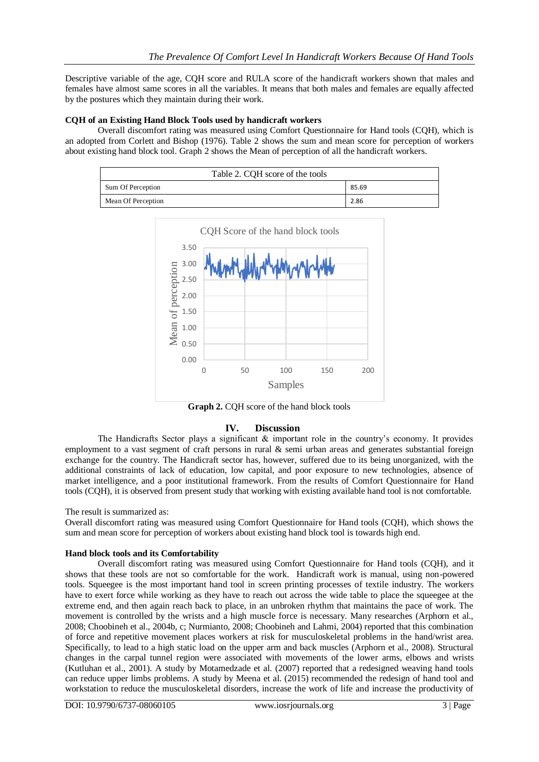Descriptive variable of the age, CQH score and RULA score of the handicraft workers shown that males and females have almost same scores in all the variables. It means that both males and females are equally affected by the postures which they maintain during their work.

# **CQH of an Existing Hand Block Tools used by handicraft workers**

Overall discomfort rating was measured using Comfort Questionnaire for Hand tools (CQH), which is an adopted from Corlett and Bishop (1976). Table 2 shows the sum and mean score for perception of workers about existing hand block tool. Graph 2 shows the Mean of perception of all the handicraft workers.

| Table 2. CQH score of the tools |       |  |
|---------------------------------|-------|--|
| Sum Of Perception               | 85.69 |  |
| Mean Of Perception              | 2.86  |  |



**Graph 2.** CQH score of the hand block tools

# **IV. Discussion**

The Handicrafts Sector plays a significant & important role in the country's economy. It provides employment to a vast segment of craft persons in rural & semi urban areas and generates substantial foreign exchange for the country. The Handicraft sector has, however, suffered due to its being unorganized, with the additional constraints of lack of education, low capital, and poor exposure to new technologies, absence of market intelligence, and a poor institutional framework. From the results of Comfort Questionnaire for Hand tools (CQH), it is observed from present study that working with existing available hand tool is not comfortable.

#### The result is summarized as:

Overall discomfort rating was measured using Comfort Questionnaire for Hand tools (CQH), which shows the sum and mean score for perception of workers about existing hand block tool is towards high end.

#### **Hand block tools and its Comfortability**

Overall discomfort rating was measured using Comfort Questionnaire for Hand tools (CQH), and it shows that these tools are not so comfortable for the work. Handicraft work is manual, using non-powered tools. Squeegee is the most important hand tool in screen printing processes of textile industry. The workers have to exert force while working as they have to reach out across the wide table to place the squeegee at the extreme end, and then again reach back to place, in an unbroken rhythm that maintains the pace of work. The movement is controlled by the wrists and a high muscle force is necessary. Many researches (Arphorn et al., 2008; Choobineh et al., 2004b, c; Nurmianto, 2008; Choobineh and Lahmi, 2004) reported that this combination of force and repetitive movement places workers at risk for musculoskeletal problems in the hand/wrist area. Specifically, to lead to a high static load on the upper arm and back muscles (Arphorn et al., 2008). Structural changes in the carpal tunnel region were associated with movements of the lower arms, elbows and wrists (Kutluhan et al., 2001). A study by Motamedzade et al. (2007) reported that a redesigned weaving hand tools can reduce upper limbs problems. A study by Meena et al. (2015) recommended the redesign of hand tool and workstation to reduce the musculoskeletal disorders, increase the work of life and increase the productivity of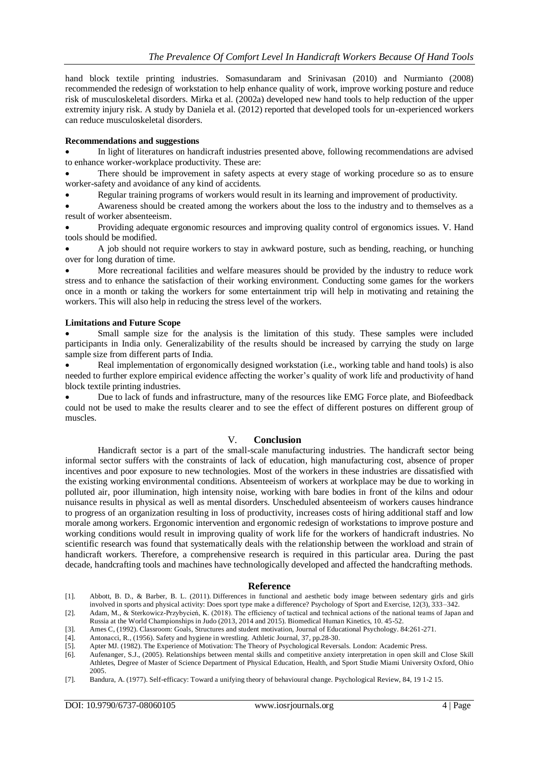hand block textile printing industries. Somasundaram and Srinivasan (2010) and Nurmianto (2008) recommended the redesign of workstation to help enhance quality of work, improve working posture and reduce risk of musculoskeletal disorders. Mirka et al. (2002a) developed new hand tools to help reduction of the upper extremity injury risk. A study by Daniela et al. (2012) reported that developed tools for un-experienced workers can reduce musculoskeletal disorders.

## **Recommendations and suggestions**

 In light of literatures on handicraft industries presented above, following recommendations are advised to enhance worker-workplace productivity. These are:

 There should be improvement in safety aspects at every stage of working procedure so as to ensure worker-safety and avoidance of any kind of accidents.

Regular training programs of workers would result in its learning and improvement of productivity.

 Awareness should be created among the workers about the loss to the industry and to themselves as a result of worker absenteeism.

 Providing adequate ergonomic resources and improving quality control of ergonomics issues. V. Hand tools should be modified.

 A job should not require workers to stay in awkward posture, such as bending, reaching, or hunching over for long duration of time.

 More recreational facilities and welfare measures should be provided by the industry to reduce work stress and to enhance the satisfaction of their working environment. Conducting some games for the workers once in a month or taking the workers for some entertainment trip will help in motivating and retaining the workers. This will also help in reducing the stress level of the workers.

# **Limitations and Future Scope**

 Small sample size for the analysis is the limitation of this study. These samples were included participants in India only. Generalizability of the results should be increased by carrying the study on large sample size from different parts of India.

 Real implementation of ergonomically designed workstation (i.e., working table and hand tools) is also needed to further explore empirical evidence affecting the worker's quality of work life and productivity of hand block textile printing industries.

 Due to lack of funds and infrastructure, many of the resources like EMG Force plate, and Biofeedback could not be used to make the results clearer and to see the effect of different postures on different group of muscles.

## V. **Conclusion**

Handicraft sector is a part of the small-scale manufacturing industries. The handicraft sector being informal sector suffers with the constraints of lack of education, high manufacturing cost, absence of proper incentives and poor exposure to new technologies. Most of the workers in these industries are dissatisfied with the existing working environmental conditions. Absenteeism of workers at workplace may be due to working in polluted air, poor illumination, high intensity noise, working with bare bodies in front of the kilns and odour nuisance results in physical as well as mental disorders. Unscheduled absenteeism of workers causes hindrance to progress of an organization resulting in loss of productivity, increases costs of hiring additional staff and low morale among workers. Ergonomic intervention and ergonomic redesign of workstations to improve posture and working conditions would result in improving quality of work life for the workers of handicraft industries. No scientific research was found that systematically deals with the relationship between the workload and strain of handicraft workers. Therefore, a comprehensive research is required in this particular area. During the past decade, handcrafting tools and machines have technologically developed and affected the handcrafting methods.

#### **Reference**

[1]. Abbott, B. D., & Barber, B. L. (2011). Differences in functional and aesthetic body image between sedentary girls and girls involved in sports and physical activity: Does sport type make a difference? Psychology of Sport and Exercise, 12(3), 333–342.

[2]. Adam, M., & Sterkowicz-Przybycień, K. (2018). The efficiency of tactical and technical actions of the national teams of Japan and Russia at the World Championships in Judo (2013, 2014 and 2015). Biomedical Human Kinetics, 10. 45-52.

[3]. Ames C, (1992). Classroom: Goals, Structures and student motivation, Journal of Educational Psychology. 84:261-271. [4]. Antonacci, R., (1956). Safety and hygiene in wrestling. Athletic Journal, 37, pp.28-30.

- [5]. Apter MJ. (1982). The Experience of Motivation: The Theory of Psychological Reversals. London: Academic Press.
- [6]. Aufenanger, S.J., (2005). Relationships between mental skills and competitive anxiety interpretation in open skill and Close Skill Athletes, Degree of Master of Science Department of Physical Education, Health, and Sport Studie Miami University Oxford, Ohio 2005.
- [7]. Bandura, A. (1977). Self-efficacy: Toward a unifying theory of behavioural change. Psychological Review, 84, 19 1-2 15.

Antonacci, R., (1956). Safety and hygiene in wrestling. Athletic Journal, 37, pp.28-30.